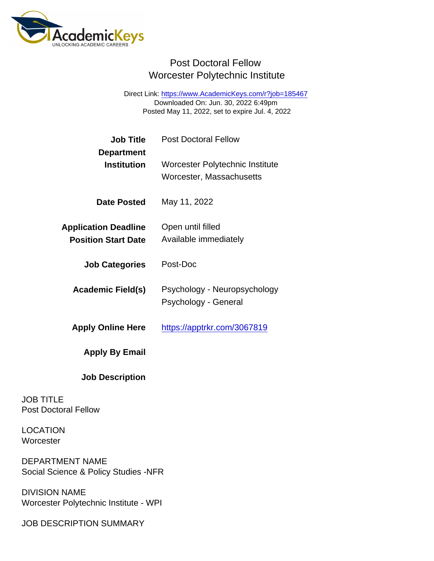Direct Link: <https://www.AcademicKeys.com/r?job=185467> Downloaded On: Jun. 30, 2022 6:49pm Posted May 11, 2022, set to expire Jul. 4, 2022

| <b>Job Title</b><br>Department                            | <b>Post Doctoral Fellow</b>                                 |
|-----------------------------------------------------------|-------------------------------------------------------------|
| Institution                                               | Worcester Polytechnic Institute<br>Worcester, Massachusetts |
| Date Posted                                               | May 11, 2022                                                |
| <b>Application Deadline</b><br><b>Position Start Date</b> | Open until filled<br>Available immediately                  |
| <b>Job Categories</b>                                     | Post-Doc                                                    |
| Academic Field(s)                                         | Psychology - Neuropsychology<br>Psychology - General        |
| <b>Apply Online Here</b>                                  | https://apptrkr.com/3067819                                 |
| Apply By Email                                            |                                                             |
| <b>Job Description</b>                                    |                                                             |
| <b>JOB TITLE</b><br><b>Post Doctoral Fellow</b>           |                                                             |

LOCATION **Worcester** 

DEPARTMENT NAME Social Science & Policy Studies -NFR

DIVISION NAME Worcester Polytechnic Institute - WPI

JOB DESCRIPTION SUMMARY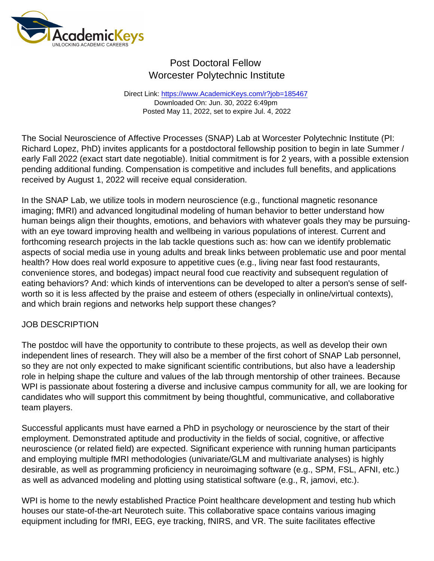Direct Link: <https://www.AcademicKeys.com/r?job=185467> Downloaded On: Jun. 30, 2022 6:49pm Posted May 11, 2022, set to expire Jul. 4, 2022

The Social Neuroscience of Affective Processes (SNAP) Lab at Worcester Polytechnic Institute (PI: Richard Lopez, PhD) invites applicants for a postdoctoral fellowship position to begin in late Summer / early Fall 2022 (exact start date negotiable). Initial commitment is for 2 years, with a possible extension pending additional funding. Compensation is competitive and includes full benefits, and applications received by August 1, 2022 will receive equal consideration.

In the SNAP Lab, we utilize tools in modern neuroscience (e.g., functional magnetic resonance imaging; fMRI) and advanced longitudinal modeling of human behavior to better understand how human beings align their thoughts, emotions, and behaviors with whatever goals they may be pursuingwith an eye toward improving health and wellbeing in various populations of interest. Current and forthcoming research projects in the lab tackle questions such as: how can we identify problematic aspects of social media use in young adults and break links between problematic use and poor mental health? How does real world exposure to appetitive cues (e.g., living near fast food restaurants, convenience stores, and bodegas) impact neural food cue reactivity and subsequent regulation of eating behaviors? And: which kinds of interventions can be developed to alter a person's sense of selfworth so it is less affected by the praise and esteem of others (especially in online/virtual contexts), and which brain regions and networks help support these changes?

#### JOB DESCRIPTION

The postdoc will have the opportunity to contribute to these projects, as well as develop their own independent lines of research. They will also be a member of the first cohort of SNAP Lab personnel, so they are not only expected to make significant scientific contributions, but also have a leadership role in helping shape the culture and values of the lab through mentorship of other trainees. Because WPI is passionate about fostering a diverse and inclusive campus community for all, we are looking for candidates who will support this commitment by being thoughtful, communicative, and collaborative team players.

Successful applicants must have earned a PhD in psychology or neuroscience by the start of their employment. Demonstrated aptitude and productivity in the fields of social, cognitive, or affective neuroscience (or related field) are expected. Significant experience with running human participants and employing multiple fMRI methodologies (univariate/GLM and multivariate analyses) is highly desirable, as well as programming proficiency in neuroimaging software (e.g., SPM, FSL, AFNI, etc.) as well as advanced modeling and plotting using statistical software (e.g., R, jamovi, etc.).

WPI is home to the newly established Practice Point healthcare development and testing hub which houses our state-of-the-art Neurotech suite. This collaborative space contains various imaging equipment including for fMRI, EEG, eye tracking, fNIRS, and VR. The suite facilitates effective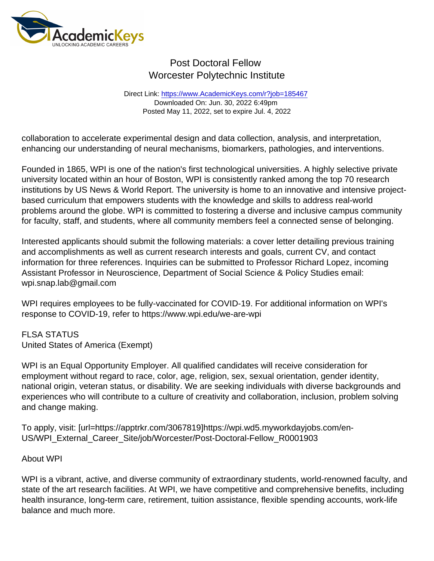Direct Link: <https://www.AcademicKeys.com/r?job=185467> Downloaded On: Jun. 30, 2022 6:49pm Posted May 11, 2022, set to expire Jul. 4, 2022

collaboration to accelerate experimental design and data collection, analysis, and interpretation, enhancing our understanding of neural mechanisms, biomarkers, pathologies, and interventions.

Founded in 1865, WPI is one of the nation's first technological universities. A highly selective private university located within an hour of Boston, WPI is consistently ranked among the top 70 research institutions by US News & World Report. The university is home to an innovative and intensive projectbased curriculum that empowers students with the knowledge and skills to address real-world problems around the globe. WPI is committed to fostering a diverse and inclusive campus community for faculty, staff, and students, where all community members feel a connected sense of belonging.

Interested applicants should submit the following materials: a cover letter detailing previous training and accomplishments as well as current research interests and goals, current CV, and contact information for three references. Inquiries can be submitted to Professor Richard Lopez, incoming Assistant Professor in Neuroscience, Department of Social Science & Policy Studies email: wpi.snap.lab@gmail.com

WPI requires employees to be fully-vaccinated for COVID-19. For additional information on WPI's response to COVID-19, refer to https://www.wpi.edu/we-are-wpi

FLSA STATUS United States of America (Exempt)

WPI is an Equal Opportunity Employer. All qualified candidates will receive consideration for employment without regard to race, color, age, religion, sex, sexual orientation, gender identity, national origin, veteran status, or disability. We are seeking individuals with diverse backgrounds and experiences who will contribute to a culture of creativity and collaboration, inclusion, problem solving and change making.

To apply, visit: [url=https://apptrkr.com/3067819]https://wpi.wd5.myworkdayjobs.com/en-US/WPI\_External\_Career\_Site/job/Worcester/Post-Doctoral-Fellow\_R0001903

#### About WPI

WPI is a vibrant, active, and diverse community of extraordinary students, world-renowned faculty, and state of the art research facilities. At WPI, we have competitive and comprehensive benefits, including health insurance, long-term care, retirement, tuition assistance, flexible spending accounts, work-life balance and much more.